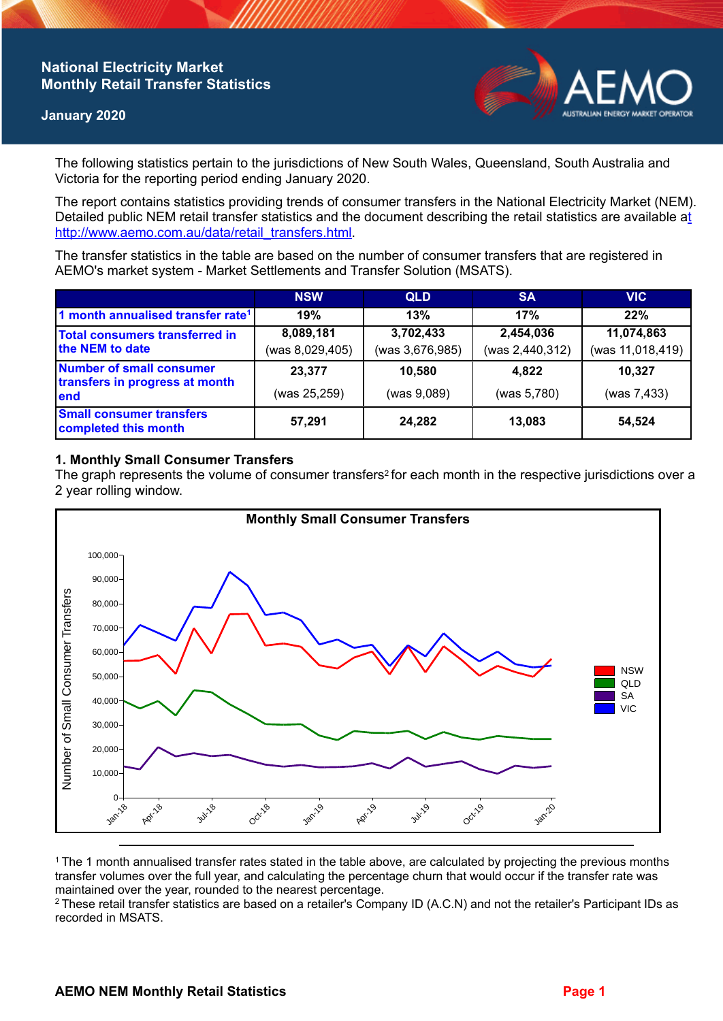# **National Electricity Market Monthly Retail Transfer Statistics**

### **January 2020**



The following statistics pertain to the jurisdictions of New South Wales, Queensland, South Australia and Victoria for the reporting period ending January 2020.

The report contains statistics providing trends of consumer transfers in the National Electricity Market (NEM). Detailed public NEM retail transfer statistics and the document describing the retail statistics are available a[t](http://www.aemo.com.au/data/retail_transfers.html)  http://www.aemo.com.au/data/retail\_transfers.html

The transfer statistics in the table are based on the number of consumer transfers that are registered in AEMO's market system - Market Settlements and Transfer Solution (MSATS).

|                                                                    | <b>NSW</b>      | <b>QLD</b>      | <b>SA</b>       | <b>VIC</b>       |
|--------------------------------------------------------------------|-----------------|-----------------|-----------------|------------------|
| 1 month annualised transfer rate <sup>1</sup>                      | 19%             | 13%             | 17%             | 22%              |
| Total consumers transferred in<br>the NEM to date                  | 8,089,181       | 3,702,433       | 2,454,036       | 11,074,863       |
|                                                                    | (was 8,029,405) | (was 3,676,985) | (was 2,440,312) | (was 11,018,419) |
| Number of small consumer<br>transfers in progress at month<br>lend | 23,377          | 10,580          | 4,822           | 10,327           |
|                                                                    | (was 25,259)    | (was 9,089)     | (was 5,780)     | (was 7,433)      |
| <b>Small consumer transfers</b><br>completed this month            | 57,291          | 24,282          | 13,083          | 54,524           |

## **1. Monthly Small Consumer Transfers**

The graph represents the volume of consumer transfers<sup>2</sup> for each month in the respective jurisdictions over a 2 year rolling window.



<sup>1</sup>The 1 month annualised transfer rates stated in the table above, are calculated by projecting the previous months transfer volumes over the full year, and calculating the percentage churn that would occur if the transfer rate was maintained over the year, rounded to the nearest percentage.

<sup>2</sup> These retail transfer statistics are based on a retailer's Company ID (A.C.N) and not the retailer's Participant IDs as recorded in MSATS.